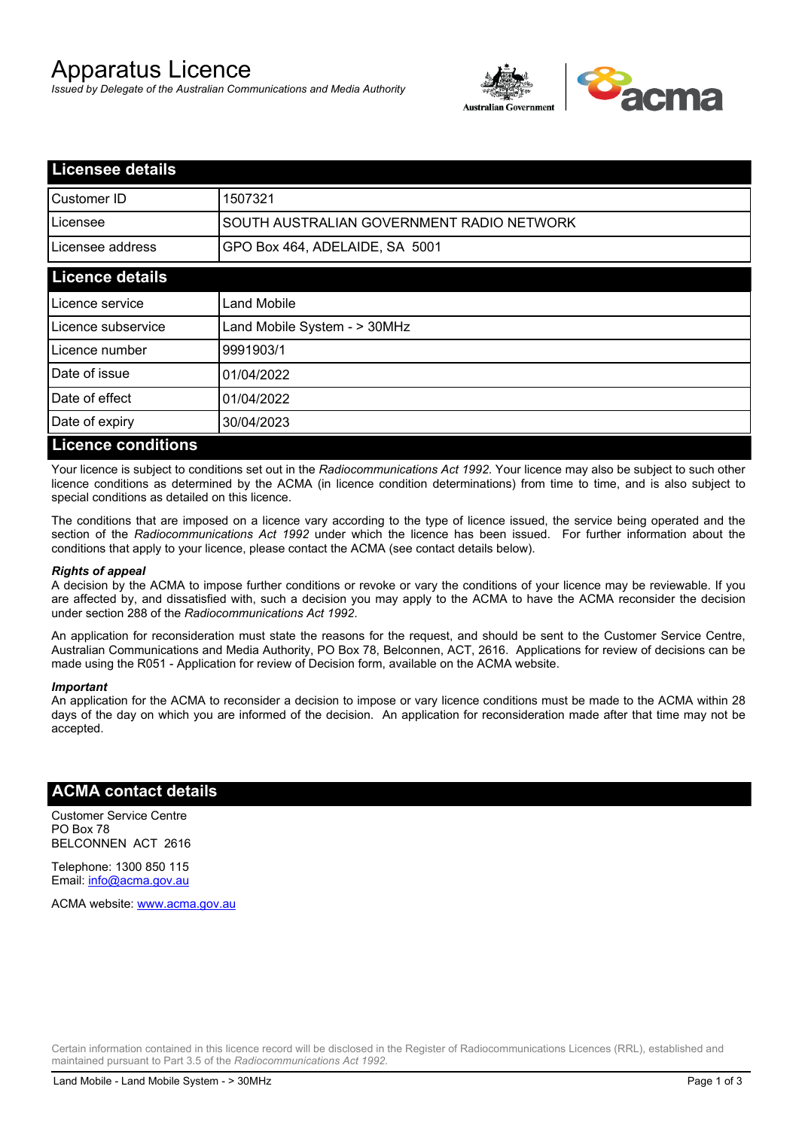# Apparatus Licence

*Issued by Delegate of the Australian Communications and Media Authority*



| <b>Licensee details</b>   |                                           |
|---------------------------|-------------------------------------------|
| <b>I</b> Customer ID      | 1507321                                   |
| Licensee                  | SOUTH AUSTRALIAN GOVERNMENT RADIO NETWORK |
| Licensee address          | GPO Box 464, ADELAIDE, SA 5001            |
| <b>Licence details</b>    |                                           |
| Licence service           | Land Mobile                               |
| Licence subservice        | Land Mobile System - > 30MHz              |
| Licence number            | 9991903/1                                 |
| Date of issue             | 01/04/2022                                |
| Date of effect            | 01/04/2022                                |
| Date of expiry            | 30/04/2023                                |
| <b>Licence conditions</b> |                                           |

Your licence is subject to conditions set out in the *Radiocommunications Act 1992*. Your licence may also be subject to such other licence conditions as determined by the ACMA (in licence condition determinations) from time to time, and is also subject to special conditions as detailed on this licence.

The conditions that are imposed on a licence vary according to the type of licence issued, the service being operated and the section of the *Radiocommunications Act 1992* under which the licence has been issued. For further information about the conditions that apply to your licence, please contact the ACMA (see contact details below).

#### *Rights of appeal*

A decision by the ACMA to impose further conditions or revoke or vary the conditions of your licence may be reviewable. If you are affected by, and dissatisfied with, such a decision you may apply to the ACMA to have the ACMA reconsider the decision under section 288 of the *Radiocommunications Act 1992*.

An application for reconsideration must state the reasons for the request, and should be sent to the Customer Service Centre, Australian Communications and Media Authority, PO Box 78, Belconnen, ACT, 2616. Applications for review of decisions can be made using the R051 - Application for review of Decision form, available on the ACMA website.

#### *Important*

An application for the ACMA to reconsider a decision to impose or vary licence conditions must be made to the ACMA within 28 days of the day on which you are informed of the decision. An application for reconsideration made after that time may not be accepted.

### **ACMA contact details**

Customer Service Centre PO Box 78 BELCONNEN ACT 2616

Telephone: 1300 850 115 Email: info@acma.gov.au

ACMA website: www.acma.gov.au

Certain information contained in this licence record will be disclosed in the Register of Radiocommunications Licences (RRL), established and maintained pursuant to Part 3.5 of the *Radiocommunications Act 1992.*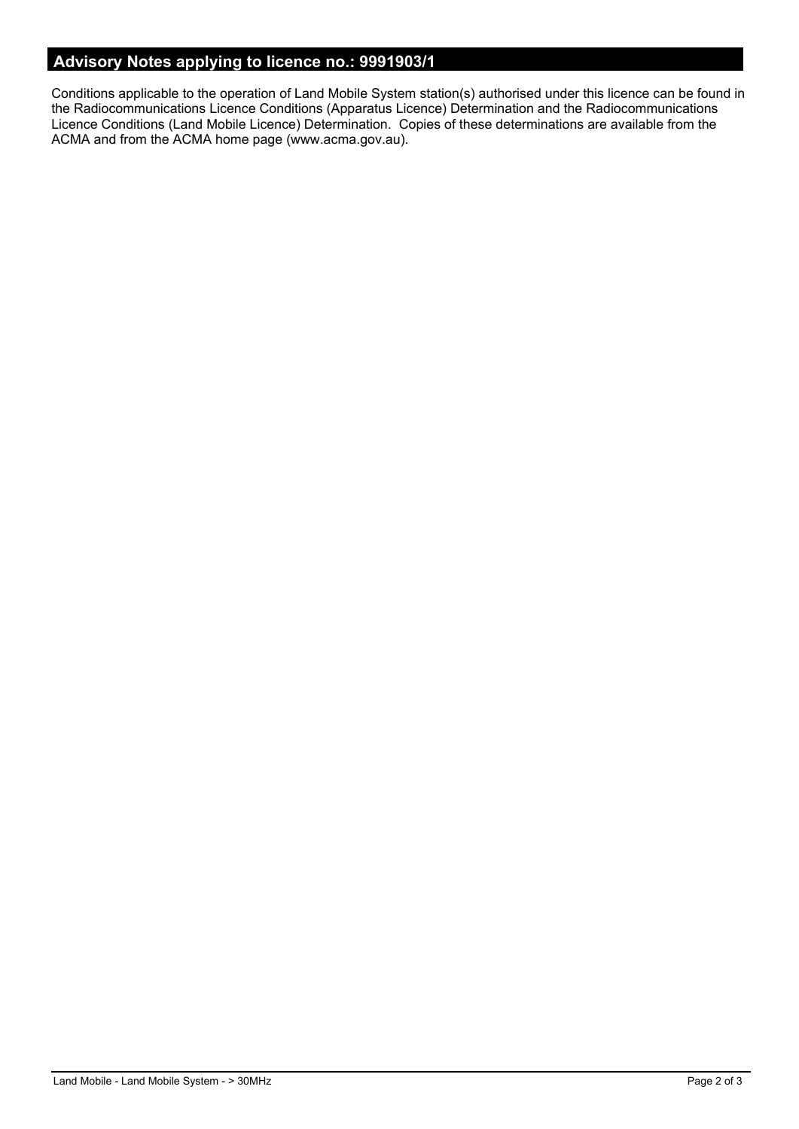# **Advisory Notes applying to licence no.: 9991903/1**

Conditions applicable to the operation of Land Mobile System station(s) authorised under this licence can be found in the Radiocommunications Licence Conditions (Apparatus Licence) Determination and the Radiocommunications Licence Conditions (Land Mobile Licence) Determination. Copies of these determinations are available from the ACMA and from the ACMA home page (www.acma.gov.au).